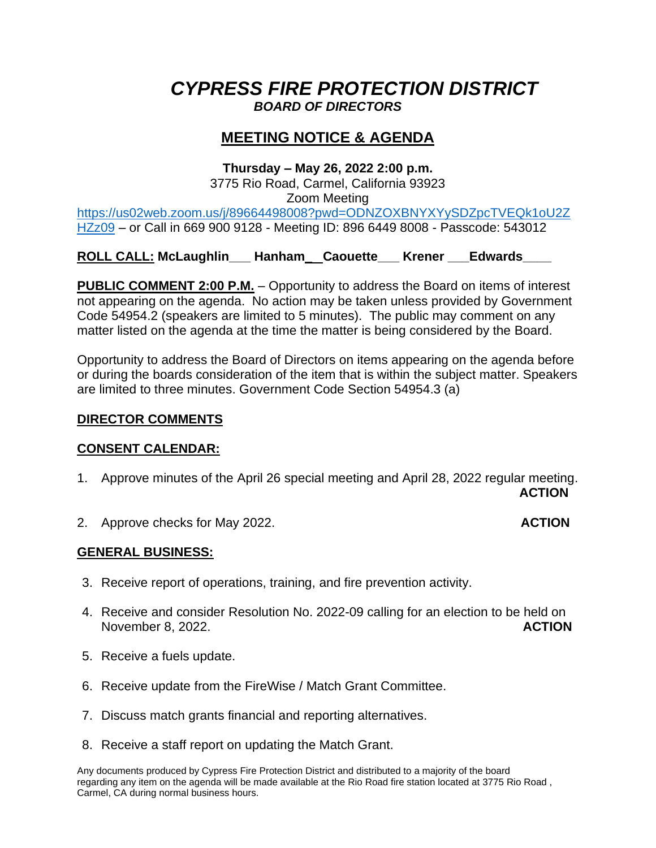# *CYPRESS FIRE PROTECTION DISTRICT BOARD OF DIRECTORS*

# **MEETING NOTICE & AGENDA**

### **Thursday – May 26, 2022 2:00 p.m.**

3775 Rio Road, Carmel, California 93923 Zoom Meeting [https://us02web.zoom.us/j/89664498008?pwd=ODNZOXBNYXYySDZpcTVEQk1oU2Z](https://us02web.zoom.us/j/89664498008?pwd=ODNZOXBNYXYySDZpcTVEQk1oU2ZHZz09) [HZz09](https://us02web.zoom.us/j/89664498008?pwd=ODNZOXBNYXYySDZpcTVEQk1oU2ZHZz09) – or Call in 669 900 9128 - Meeting ID: 896 6449 8008 - Passcode: 543012

# **ROLL CALL: McLaughlin\_\_\_ Hanham\_ Caouette\_\_\_ Krener \_\_\_Edwards\_\_\_\_**

**PUBLIC COMMENT 2:00 P.M.** – Opportunity to address the Board on items of interest not appearing on the agenda. No action may be taken unless provided by Government Code 54954.2 (speakers are limited to 5 minutes). The public may comment on any matter listed on the agenda at the time the matter is being considered by the Board.

Opportunity to address the Board of Directors on items appearing on the agenda before or during the boards consideration of the item that is within the subject matter. Speakers are limited to three minutes. Government Code Section 54954.3 (a)

## **DIRECTOR COMMENTS**

### **CONSENT CALENDAR:**

- 1. Approve minutes of the April 26 special meeting and April 28, 2022 regular meeting. **ACTION**
- 2. Approve checks for May 2022. **ACTION**

# **GENERAL BUSINESS:**

- 3. Receive report of operations, training, and fire prevention activity.
- 4. Receive and consider Resolution No. 2022-09 calling for an election to be held on November 8, 2022. **ACTION**
- 5. Receive a fuels update.
- 6. Receive update from the FireWise / Match Grant Committee.
- 7. Discuss match grants financial and reporting alternatives.
- 8. Receive a staff report on updating the Match Grant.

Any documents produced by Cypress Fire Protection District and distributed to a majority of the board regarding any item on the agenda will be made available at the Rio Road fire station located at 3775 Rio Road , Carmel, CA during normal business hours.